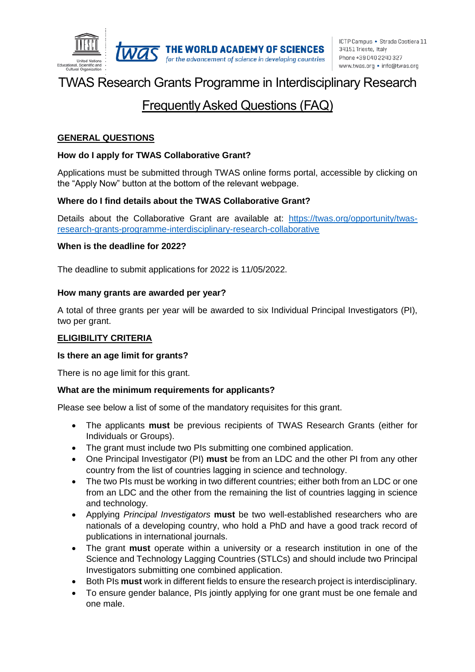

# TWAS Research Grants Programme in Interdisciplinary Research

## Frequently Asked Questions (FAQ)

#### **GENERAL QUESTIONS**

#### **How do I apply for TWAS Collaborative Grant?**

Applications must be submitted through TWAS online forms portal, accessible by clicking on the "Apply Now" button at the bottom of the relevant webpage.

#### **Where do I find details about the TWAS Collaborative Grant?**

Details about the Collaborative Grant are available at: [https://twas.org/opportunity/twas](https://twas.org/opportunity/twas-research-grants-programme-interdisciplinary-research-collaborative)[research-grants-programme-interdisciplinary-research-collaborative](https://twas.org/opportunity/twas-research-grants-programme-interdisciplinary-research-collaborative)

#### **When is the deadline for 2022?**

The deadline to submit applications for 2022 is 11/05/2022.

#### **How many grants are awarded per year?**

A total of three grants per year will be awarded to six Individual Principal Investigators (PI), two per grant.

#### **ELIGIBILITY CRITERIA**

#### **Is there an age limit for grants?**

There is no age limit for this grant.

#### **What are the minimum requirements for applicants?**

Please see below a list of some of the mandatory requisites for this grant.

- The applicants **must** be previous recipients of TWAS Research Grants (either for Individuals or Groups).
- The grant must include two PIs submitting one combined application.
- One Principal Investigator (PI) **must** be from an LDC and the other PI from any other country from the list of countries lagging in science and technology.
- The two PIs must be working in two different countries; either both from an LDC or one from an LDC and the other from the remaining the list of countries lagging in science and technology.
- Applying *Principal Investigators* **must** be two well-established researchers who are nationals of a developing country, who hold a PhD and have a good track record of publications in international journals.
- The grant **must** operate within a university or a research institution in one of the Science and Technology Lagging Countries (STLCs) and should include two Principal Investigators submitting one combined application.
- Both PIs **must** work in different fields to ensure the research project is interdisciplinary.
- To ensure gender balance, PIs jointly applying for one grant must be one female and one male.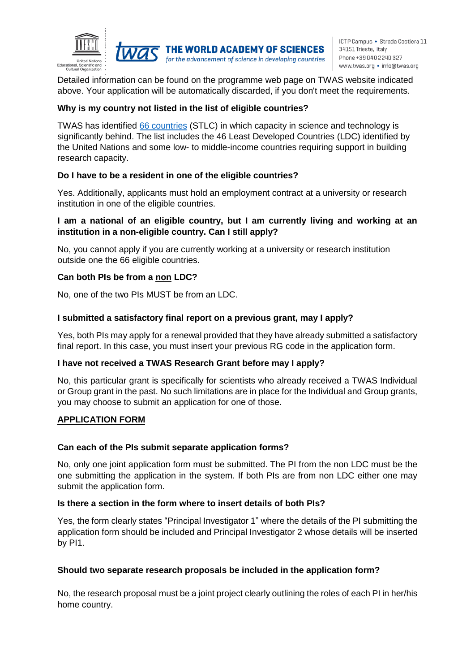

for the advancement of science in developing countries

Detailed information can be found on the programme web page on TWAS website indicated above. Your application will be automatically discarded, if you don't meet the requirements.

#### **Why is my country not listed in the list of eligible countries?**

TWAS has identified [66 countries](https://twas.org/node/2329) (STLC) in which capacity in science and technology is significantly behind. The list includes the 46 Least Developed Countries (LDC) identified by the United Nations and some low- to middle-income countries requiring support in building research capacity.

#### **Do I have to be a resident in one of the eligible countries?**

Yes. Additionally, applicants must hold an employment contract at a university or research institution in one of the eligible countries.

#### **I am a national of an eligible country, but I am currently living and working at an institution in a non-eligible country. Can I still apply?**

No, you cannot apply if you are currently working at a university or research institution outside one the 66 eligible countries.

#### **Can both PIs be from a non LDC?**

No, one of the two PIs MUST be from an LDC.

#### **I submitted a satisfactory final report on a previous grant, may I apply?**

Yes, both PIs may apply for a renewal provided that they have already submitted a satisfactory final report. In this case, you must insert your previous RG code in the application form.

#### **I have not received a TWAS Research Grant before may I apply?**

No, this particular grant is specifically for scientists who already received a TWAS Individual or Group grant in the past. No such limitations are in place for the Individual and Group grants, you may choose to submit an application for one of those.

#### **APPLICATION FORM**

#### **Can each of the PIs submit separate application forms?**

No, only one joint application form must be submitted. The PI from the non LDC must be the one submitting the application in the system. If both PIs are from non LDC either one may submit the application form.

#### **Is there a section in the form where to insert details of both PIs?**

Yes, the form clearly states "Principal Investigator 1" where the details of the PI submitting the application form should be included and Principal Investigator 2 whose details will be inserted by PI1.

#### **Should two separate research proposals be included in the application form?**

No, the research proposal must be a joint project clearly outlining the roles of each PI in her/his home country.